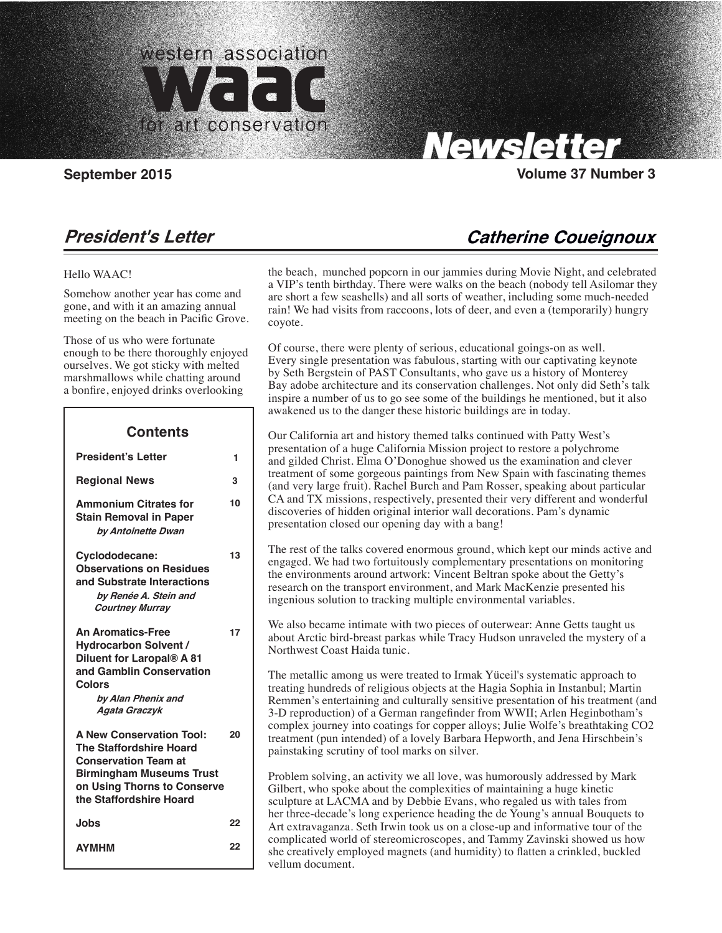

Carolyn Tallent, Editor

# **Newsletter**

## Santa Monica, CA 90403

## **September 2015 Volume 37 Number 3**

**Catherine Coueignoux**

## **President's Letter**

## Hello WAAC!

 $\overline{\phantom{a}}$ 

Somehow another year has come and gone, and with it an amazing annual meeting on the beach in Pacific Grove.

Those of us who were fortunate enough to be there thoroughly enjoyed ourselves. We got sticky with melted marshmallows while chatting around a bonfire, enjoyed drinks overlooking

| Contents                                                                                                                                                                                      |    |
|-----------------------------------------------------------------------------------------------------------------------------------------------------------------------------------------------|----|
| <b>President's Letter</b>                                                                                                                                                                     | 1  |
| <b>Regional News</b>                                                                                                                                                                          | 3  |
| <b>Ammonium Citrates for</b><br><b>Stain Removal in Paper</b><br>by Antoinette Dwan                                                                                                           | 10 |
| Cyclododecane:<br><b>Observations on Residues</b><br>and Substrate Interactions<br>by Renée A. Stein and<br><b>Courtney Murray</b>                                                            | 13 |
| <b>An Aromatics-Free</b><br><b>Hydrocarbon Solvent /</b><br>Diluent for Laropal® A 81<br>and Gamblin Conservation<br>Colors<br>by Alan Phenix and<br>Agata Graczyk                            | 17 |
| <b>A New Conservation Tool:</b><br><b>The Staffordshire Hoard</b><br><b>Conservation Team at</b><br><b>Birmingham Museums Trust</b><br>on Using Thorns to Conserve<br>the Staffordshire Hoard | 20 |
| <b>Jobs</b>                                                                                                                                                                                   | 22 |
| <b>AYMHM</b>                                                                                                                                                                                  | 22 |

the beach, munched popcorn in our jammies during Movie Night, and celebrated a VIP's tenth birthday. There were walks on the beach (nobody tell Asilomar they are short a few seashells) and all sorts of weather, including some much-needed rain! We had visits from raccoons, lots of deer, and even a (temporarily) hungry coyote.

Of course, there were plenty of serious, educational goings-on as well. Every single presentation was fabulous, starting with our captivating keynote by Seth Bergstein of PAST Consultants, who gave us a history of Monterey Bay adobe architecture and its conservation challenges. Not only did Seth's talk inspire a number of us to go see some of the buildings he mentioned, but it also awakened us to the danger these historic buildings are in today.

Our California art and history themed talks continued with Patty West's presentation of a huge California Mission project to restore a polychrome and gilded Christ. Elma O'Donoghue showed us the examination and clever treatment of some gorgeous paintings from New Spain with fascinating themes (and very large fruit). Rachel Burch and Pam Rosser, speaking about particular CA and TX missions, respectively, presented their very different and wonderful discoveries of hidden original interior wall decorations. Pam's dynamic presentation closed our opening day with a bang!

The rest of the talks covered enormous ground, which kept our minds active and engaged. We had two fortuitously complementary presentations on monitoring the environments around artwork: Vincent Beltran spoke about the Getty's research on the transport environment, and Mark MacKenzie presented his ingenious solution to tracking multiple environmental variables.

We also became intimate with two pieces of outerwear: Anne Getts taught us about Arctic bird-breast parkas while Tracy Hudson unraveled the mystery of a Northwest Coast Haida tunic.

The metallic among us were treated to Irmak Yüceil's systematic approach to treating hundreds of religious objects at the Hagia Sophia in Instanbul; Martin Remmen's entertaining and culturally sensitive presentation of his treatment (and 3-D reproduction) of a German rangefinder from WWII; Arlen Heginbotham's complex journey into coatings for copper alloys; Julie Wolfe's breathtaking CO2 treatment (pun intended) of a lovely Barbara Hepworth, and Jena Hirschbein's painstaking scrutiny of tool marks on silver.

Problem solving, an activity we all love, was humorously addressed by Mark Gilbert, who spoke about the complexities of maintaining a huge kinetic sculpture at LACMA and by Debbie Evans, who regaled us with tales from her three-decade's long experience heading the de Young's annual Bouquets to Art extravaganza. Seth Irwin took us on a close-up and informative tour of the complicated world of stereomicroscopes, and Tammy Zavinski showed us how she creatively employed magnets (and humidity) to flatten a crinkled, buckled vellum document.